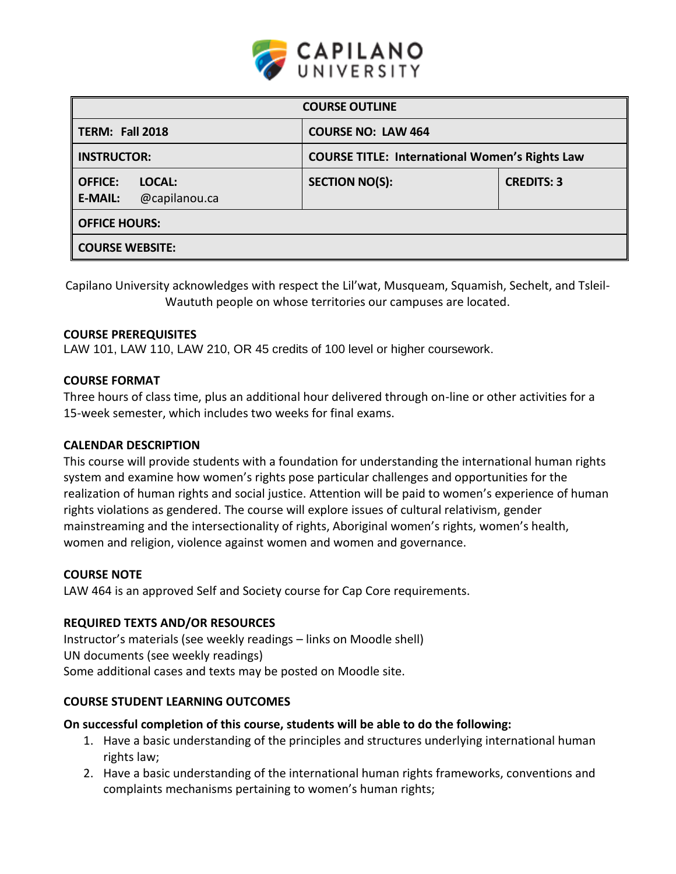

| <b>COURSE OUTLINE</b>                                       |                                                       |                   |  |  |  |
|-------------------------------------------------------------|-------------------------------------------------------|-------------------|--|--|--|
| <b>TERM: Fall 2018</b>                                      | <b>COURSE NO: LAW 464</b>                             |                   |  |  |  |
| <b>INSTRUCTOR:</b>                                          | <b>COURSE TITLE: International Women's Rights Law</b> |                   |  |  |  |
| <b>OFFICE:</b><br>LOCAL:<br>@capilanou.ca<br><b>E-MAIL:</b> | <b>SECTION NO(S):</b>                                 | <b>CREDITS: 3</b> |  |  |  |
| <b>OFFICE HOURS:</b>                                        |                                                       |                   |  |  |  |
| <b>COURSE WEBSITE:</b>                                      |                                                       |                   |  |  |  |

Capilano University acknowledges with respect the Lil'wat, Musqueam, Squamish, Sechelt, and Tsleil-Waututh people on whose territories our campuses are located.

### **COURSE PREREQUISITES**

LAW 101, LAW 110, LAW 210, OR 45 credits of 100 level or higher coursework.

### **COURSE FORMAT**

Three hours of class time, plus an additional hour delivered through on-line or other activities for a 15-week semester, which includes two weeks for final exams.

#### **CALENDAR DESCRIPTION**

This course will provide students with a foundation for understanding the international human rights system and examine how women's rights pose particular challenges and opportunities for the realization of human rights and social justice. Attention will be paid to women's experience of human rights violations as gendered. The course will explore issues of cultural relativism, gender mainstreaming and the intersectionality of rights, Aboriginal women's rights, women's health, women and religion, violence against women and women and governance.

#### **COURSE NOTE**

LAW 464 is an approved Self and Society course for Cap Core requirements.

#### **REQUIRED TEXTS AND/OR RESOURCES**

Instructor's materials (see weekly readings – links on Moodle shell) UN documents (see weekly readings) Some additional cases and texts may be posted on Moodle site.

#### **COURSE STUDENT LEARNING OUTCOMES**

#### **On successful completion of this course, students will be able to do the following:**

- 1. Have a basic understanding of the principles and structures underlying international human rights law;
- 2. Have a basic understanding of the international human rights frameworks, conventions and complaints mechanisms pertaining to women's human rights;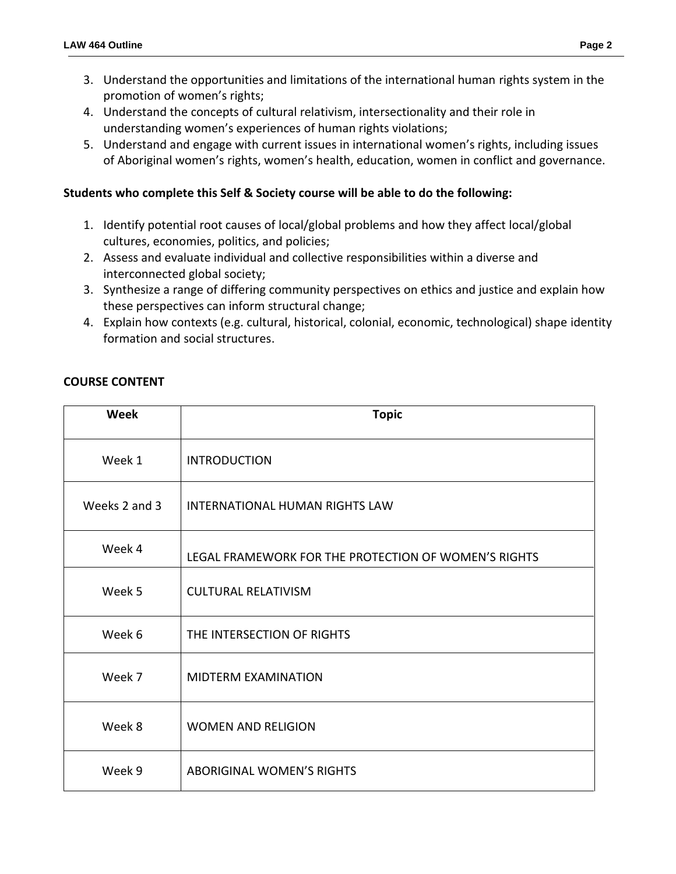- 3. Understand the opportunities and limitations of the international human rights system in the promotion of women's rights;
- 4. Understand the concepts of cultural relativism, intersectionality and their role in understanding women's experiences of human rights violations;
- 5. Understand and engage with current issues in international women's rights, including issues of Aboriginal women's rights, women's health, education, women in conflict and governance.

# **Students who complete this Self & Society course will be able to do the following:**

- 1. Identify potential root causes of local/global problems and how they affect local/global cultures, economies, politics, and policies;
- 2. Assess and evaluate individual and collective responsibilities within a diverse and interconnected global society;
- 3. Synthesize a range of differing community perspectives on ethics and justice and explain how these perspectives can inform structural change;
- 4. Explain how contexts (e.g. cultural, historical, colonial, economic, technological) shape identity formation and social structures.

## **COURSE CONTENT**

| <b>Week</b>   | <b>Topic</b>                                         |  |  |
|---------------|------------------------------------------------------|--|--|
| Week 1        | <b>INTRODUCTION</b>                                  |  |  |
| Weeks 2 and 3 | <b>INTERNATIONAL HUMAN RIGHTS LAW</b>                |  |  |
| Week 4        | LEGAL FRAMEWORK FOR THE PROTECTION OF WOMEN'S RIGHTS |  |  |
| Week 5        | <b>CULTURAL RELATIVISM</b>                           |  |  |
| Week 6        | THE INTERSECTION OF RIGHTS                           |  |  |
| Week 7        | MIDTERM EXAMINATION                                  |  |  |
| Week 8        | <b>WOMEN AND RELIGION</b>                            |  |  |
| Week 9        | <b>ABORIGINAL WOMEN'S RIGHTS</b>                     |  |  |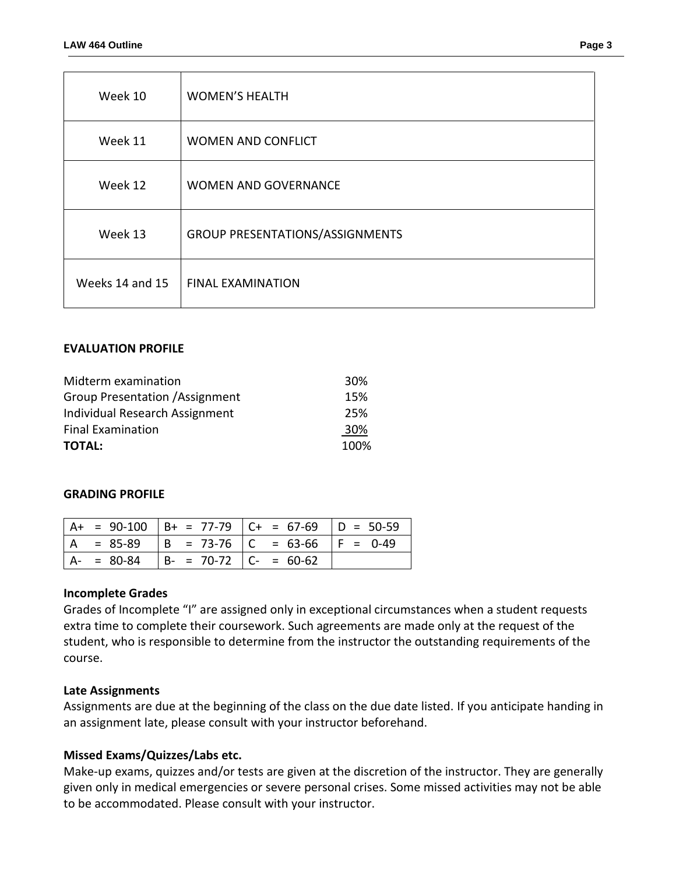| Week 10         | <b>WOMEN'S HEALTH</b>                  |
|-----------------|----------------------------------------|
| Week 11         | <b>WOMEN AND CONFLICT</b>              |
| Week 12         | <b>WOMEN AND GOVERNANCE</b>            |
| Week 13         | <b>GROUP PRESENTATIONS/ASSIGNMENTS</b> |
| Weeks 14 and 15 | <b>FINAL EXAMINATION</b>               |

### **EVALUATION PROFILE**

| Midterm examination                    | 30%  |
|----------------------------------------|------|
| <b>Group Presentation / Assignment</b> | 15%  |
| Individual Research Assignment         | 25%  |
| <b>Final Examination</b>               | 30%  |
| <b>TOTAL:</b>                          | 100% |

#### **GRADING PROFILE**

|               |                          | $  A + = 90-100   B + = 77-79   C + = 67-69   D = 50-59$ |  |
|---------------|--------------------------|----------------------------------------------------------|--|
|               |                          | 、 = 85-89  B = 73-76  C = 63-66  F = 0-49                |  |
| $A - = 80-84$ | $ B - 70-72 $ C- = 60-62 |                                                          |  |

#### **Incomplete Grades**

Grades of Incomplete "I" are assigned only in exceptional circumstances when a student requests extra time to complete their coursework. Such agreements are made only at the request of the student, who is responsible to determine from the instructor the outstanding requirements of the course.

#### **Late Assignments**

Assignments are due at the beginning of the class on the due date listed. If you anticipate handing in an assignment late, please consult with your instructor beforehand.

#### **Missed Exams/Quizzes/Labs etc.**

Make-up exams, quizzes and/or tests are given at the discretion of the instructor. They are generally given only in medical emergencies or severe personal crises. Some missed activities may not be able to be accommodated. Please consult with your instructor.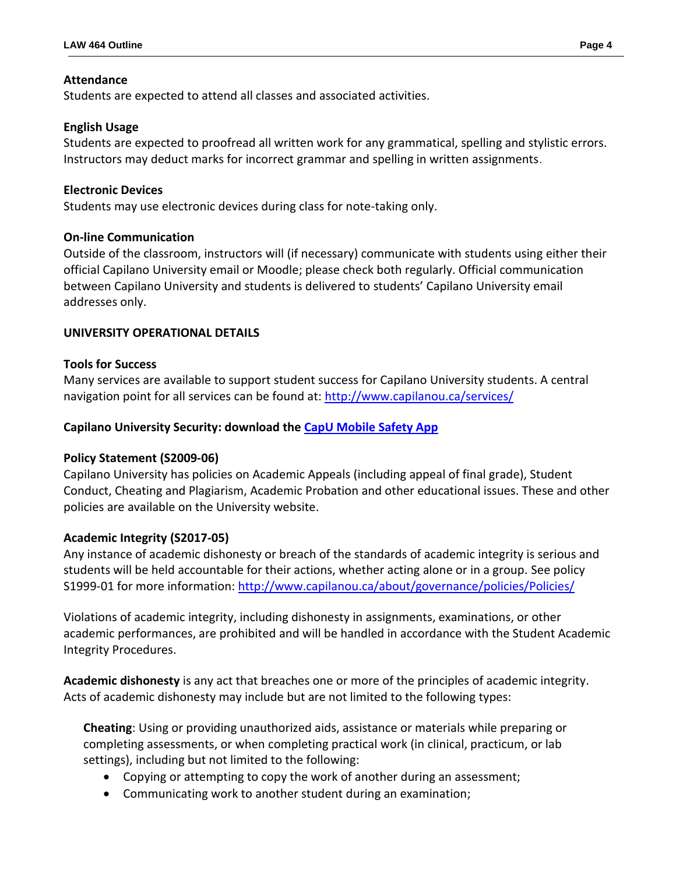### **Attendance**

Students are expected to attend all classes and associated activities.

### **English Usage**

Students are expected to proofread all written work for any grammatical, spelling and stylistic errors. Instructors may deduct marks for incorrect grammar and spelling in written assignments.

### **Electronic Devices**

Students may use electronic devices during class for note-taking only.

### **On-line Communication**

Outside of the classroom, instructors will (if necessary) communicate with students using either their official Capilano University email or Moodle; please check both regularly. Official communication between Capilano University and students is delivered to students' Capilano University email addresses only.

### **UNIVERSITY OPERATIONAL DETAILS**

### **Tools for Success**

Many services are available to support student success for Capilano University students. A central navigation point for all services can be found at:<http://www.capilanou.ca/services/>

### **Capilano University Security: download the [CapU Mobile Safety App](https://www.capilanou.ca/services/safety-security/CapU-Mobile-Safety-App/)**

#### **Policy Statement (S2009-06)**

Capilano University has policies on Academic Appeals (including appeal of final grade), Student Conduct, Cheating and Plagiarism, Academic Probation and other educational issues. These and other policies are available on the University website.

#### **Academic Integrity (S2017-05)**

Any instance of academic dishonesty or breach of the standards of academic integrity is serious and students will be held accountable for their actions, whether acting alone or in a group. See policy S1999-01 for more information: <http://www.capilanou.ca/about/governance/policies/Policies/>

Violations of academic integrity, including dishonesty in assignments, examinations, or other academic performances, are prohibited and will be handled in accordance with the Student Academic Integrity Procedures.

**Academic dishonesty** is any act that breaches one or more of the principles of academic integrity. Acts of academic dishonesty may include but are not limited to the following types:

**Cheating**: Using or providing unauthorized aids, assistance or materials while preparing or completing assessments, or when completing practical work (in clinical, practicum, or lab settings), including but not limited to the following:

- Copying or attempting to copy the work of another during an assessment;
- Communicating work to another student during an examination;